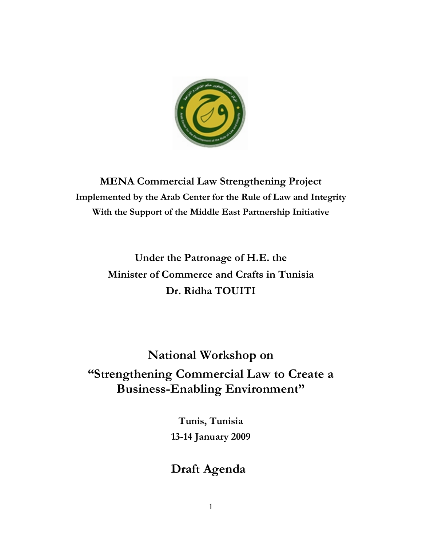

**MENA Commercial Law Strengthening Project Implemented by the Arab Center for the Rule of Law and Integrity With the Support of the Middle East Partnership Initiative** 

> **Under the Patronage of H.E. the Minister of Commerce and Crafts in Tunisia Dr. Ridha TOUITI**

**National Workshop on "Strengthening Commercial Law to Create a Business-Enabling Environment"** 

> **Tunis, Tunisia 13-14 January 2009**

# **Draft Agenda**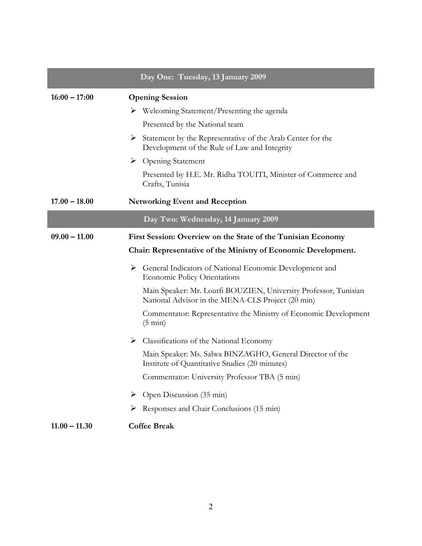|                 | Day One: Tuesday, 13 January 2009                                                                                     |
|-----------------|-----------------------------------------------------------------------------------------------------------------------|
| $16:00 - 17:00$ | <b>Opening Session</b>                                                                                                |
|                 | $\triangleright$ Welcoming Statement/Presenting the agenda                                                            |
|                 | Presented by the National team                                                                                        |
|                 | Statement by the Representative of the Arab Center for the<br>Development of the Rule of Law and Integrity            |
|                 | $\triangleright$ Opening Statement                                                                                    |
|                 | Presented by H.E. Mr. Ridha TOUITI, Minister of Commerce and<br>Crafts, Tunisia                                       |
| $17.00 - 18.00$ | <b>Networking Event and Reception</b>                                                                                 |
|                 | Day Two: Wednesday, 14 January 2009                                                                                   |
| $09.00 - 11.00$ | First Session: Overview on the State of the Tunisian Economy                                                          |
|                 | Chair: Representative of the Ministry of Economic Development.                                                        |
|                 | General Indicators of National Economic Development and<br><b>Economic Policy Orientations</b>                        |
|                 | Main Speaker: Mr. Loutfi BOUZIEN, University Professor, Tunisian<br>National Advisor in the MENA-CLS Project (20 min) |
|                 | Commentator: Representative the Ministry of Economic Development<br>$(5 \text{ min})$                                 |
|                 | $\triangleright$ Classifications of the National Economy                                                              |
|                 | Main Speaker: Ms. Salwa BINZAGHO, General Director of the<br>Institute of Quantitative Studies (20 minutes)           |
|                 | Commentator: University Professor TBA (5 min)                                                                         |
|                 | $\triangleright$ Open Discussion (35 min)                                                                             |
|                 | Responses and Chair Conclusions (15 min)<br>➤                                                                         |
| $11.00 - 11.30$ | <b>Coffee Break</b>                                                                                                   |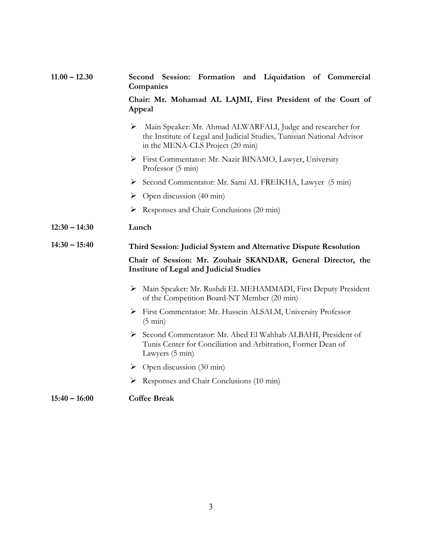# **11.00 – 12.30 Second Session: Formation and Liquidation of Commercial Companies**

## **Chair: Mr. Mohamad AL LAJMI, First President of the Court of Appeal**

- Main Speaker: Mr. Ahmad ALWARFALI, Judge and researcher for the Institute of Legal and Judicial Studies, Tunisian National Advisor in the MENA-CLS Project (20 min)
- First Commentator: Mr. Nazir BINAMO, Lawyer, University Professor (5 min)
- Second Commentator: Mr. Sami AL FREIKHA, Lawyer (5 min)
- $\triangleright$  Open discussion (40 min)
- $\triangleright$  Responses and Chair Conclusions (20 min)

#### **12:30 – 14:30 Lunch**

# **14:30 – 15:40 Third Session: Judicial System and Alternative Dispute Resolution**

#### **Chair of Session: Mr. Zouhair SKANDAR, General Director, the Institute of Legal and Judicial Studies**

- Main Speaker: Mr. Rushdi EL MEHAMMADI, First Deputy President of the Competition Board-NT Member (20 min)
- First Commentator: Mr. Hussein ALSALM, University Professor (5 min)
- Second Commentator: Mr. Abed El Wahhab ALBAHI, President of Tunis Center for Conciliation and Arbitration, Former Dean of Lawyers (5 min)
- $\triangleright$  Open discussion (30 min)
- $\triangleright$  Responses and Chair Conclusions (10 min)

#### **15:40 – 16:00 Coffee Break**